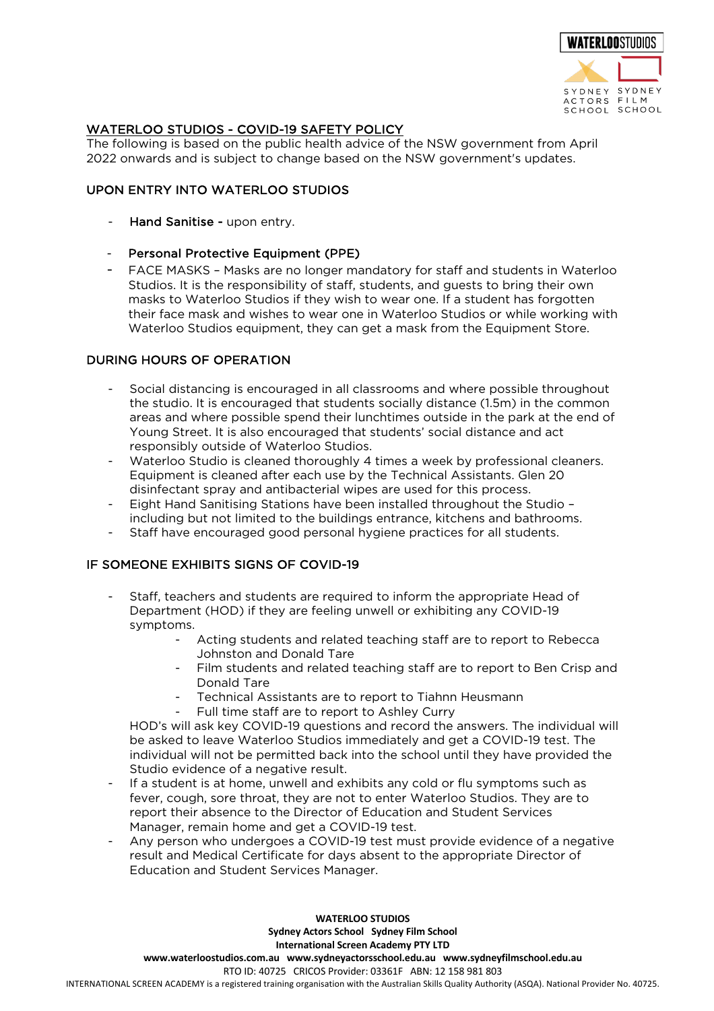

## WATERLOO STUDIOS - COVID-19 SAFETY POLICY

The following is based on the public health advice of the NSW government from April 2022 onwards and is subject to change based on the NSW government's updates.

### UPON ENTRY INTO WATERLOO STUDIOS

- Hand Sanitise upon entry.
- Personal Protective Equipment (PPE)
- FACE MASKS Masks are no longer mandatory for staff and students in Waterloo Studios. It is the responsibility of staff, students, and guests to bring their own masks to Waterloo Studios if they wish to wear one. If a student has forgotten their face mask and wishes to wear one in Waterloo Studios or while working with Waterloo Studios equipment, they can get a mask from the Equipment Store.

## DURING HOURS OF OPERATION

- Social distancing is encouraged in all classrooms and where possible throughout the studio. It is encouraged that students socially distance (1.5m) in the common areas and where possible spend their lunchtimes outside in the park at the end of Young Street. It is also encouraged that students' social distance and act responsibly outside of Waterloo Studios.
- Waterloo Studio is cleaned thoroughly 4 times a week by professional cleaners. Equipment is cleaned after each use by the Technical Assistants. Glen 20 disinfectant spray and antibacterial wipes are used for this process.
- Eight Hand Sanitising Stations have been installed throughout the Studio including but not limited to the buildings entrance, kitchens and bathrooms.
- Staff have encouraged good personal hygiene practices for all students.

## IF SOMEONE EXHIBITS SIGNS OF COVID-19

- Staff, teachers and students are required to inform the appropriate Head of Department (HOD) if they are feeling unwell or exhibiting any COVID-19 symptoms.
	- Acting students and related teaching staff are to report to Rebecca Johnston and Donald Tare
	- Film students and related teaching staff are to report to Ben Crisp and Donald Tare
	- Technical Assistants are to report to Tiahnn Heusmann
	- Full time staff are to report to Ashley Curry

HOD's will ask key COVID-19 questions and record the answers. The individual will be asked to leave Waterloo Studios immediately and get a COVID-19 test. The individual will not be permitted back into the school until they have provided the Studio evidence of a negative result.

- If a student is at home, unwell and exhibits any cold or flu symptoms such as fever, cough, sore throat, they are not to enter Waterloo Studios. They are to report their absence to the Director of Education and Student Services Manager, remain home and get a COVID-19 test.
- Any person who undergoes a COVID-19 test must provide evidence of a negative result and Medical Certificate for days absent to the appropriate Director of Education and Student Services Manager.